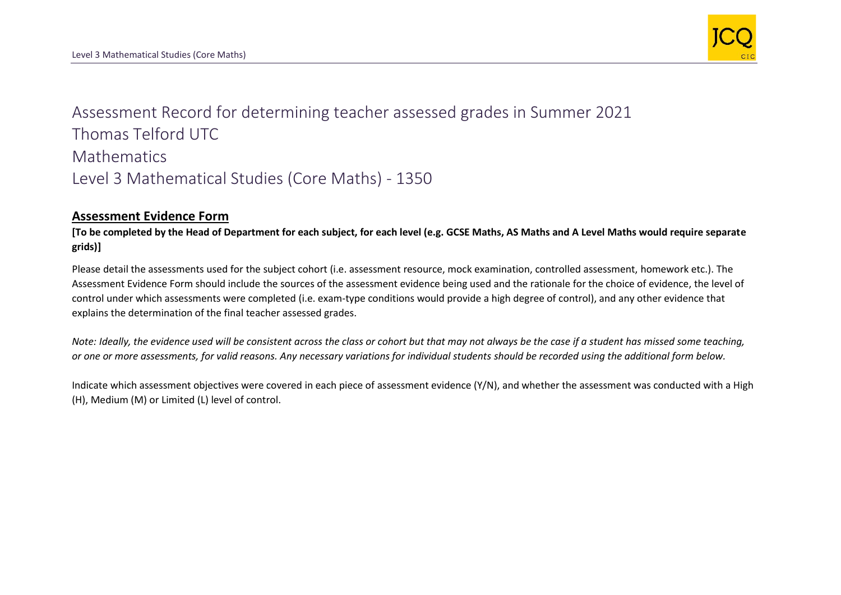

Assessment Record for determining teacher assessed grades in Summer 2021 Thomas Telford UTC **Mathematics** Level 3 Mathematical Studies (Core Maths) - 1350

## **Assessment Evidence Form**

**[To be completed by the Head of Department for each subject, for each level (e.g. GCSE Maths, AS Maths and A Level Maths would require separate grids)]**

Please detail the assessments used for the subject cohort (i.e. assessment resource, mock examination, controlled assessment, homework etc.). The Assessment Evidence Form should include the sources of the assessment evidence being used and the rationale for the choice of evidence, the level of control under which assessments were completed (i.e. exam-type conditions would provide a high degree of control), and any other evidence that explains the determination of the final teacher assessed grades.

*Note: Ideally, the evidence used will be consistent across the class or cohort but that may not always be the case if a student has missed some teaching, or one or more assessments, for valid reasons. Any necessary variations for individual students should be recorded using the additional form below.* 

Indicate which assessment objectives were covered in each piece of assessment evidence (Y/N), and whether the assessment was conducted with a High (H), Medium (M) or Limited (L) level of control.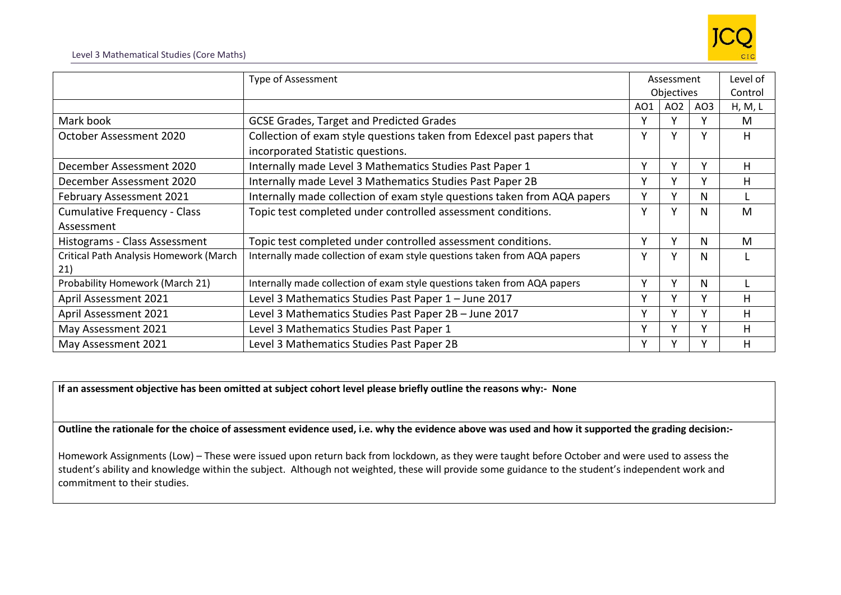

|                                               | Type of Assessment                                                       | Assessment |                 | Level of |         |
|-----------------------------------------------|--------------------------------------------------------------------------|------------|-----------------|----------|---------|
|                                               |                                                                          | Objectives |                 |          | Control |
|                                               |                                                                          | AO1        | AO <sub>2</sub> | AO3      | H, M, L |
| Mark book                                     | <b>GCSE Grades, Target and Predicted Grades</b>                          | v          | Υ               |          | M       |
| October Assessment 2020                       | Collection of exam style questions taken from Edexcel past papers that   | ۷          | Υ               |          | н       |
|                                               | incorporated Statistic questions.                                        |            |                 |          |         |
| December Assessment 2020                      | Internally made Level 3 Mathematics Studies Past Paper 1                 | v          | Y               | v        | н       |
| December Assessment 2020                      | Internally made Level 3 Mathematics Studies Past Paper 2B                | ۷          | Υ               |          | н       |
| <b>February Assessment 2021</b>               | Internally made collection of exam style questions taken from AQA papers | v          | ٧               | N        |         |
| <b>Cumulative Frequency - Class</b>           | Topic test completed under controlled assessment conditions.             | v          | Y               | N        | M       |
| Assessment                                    |                                                                          |            |                 |          |         |
| Histograms - Class Assessment                 | Topic test completed under controlled assessment conditions.             | ٧          | Y               | N        | M       |
| Critical Path Analysis Homework (March<br>21) | Internally made collection of exam style questions taken from AQA papers | v          | Y               | N        |         |
| Probability Homework (March 21)               | Internally made collection of exam style questions taken from AQA papers | v          | ٧               | N        |         |
|                                               |                                                                          | v          | v               |          |         |
| April Assessment 2021                         | Level 3 Mathematics Studies Past Paper 1 - June 2017                     |            |                 |          | н       |
| April Assessment 2021                         | Level 3 Mathematics Studies Past Paper 2B - June 2017                    | v          | ۷               |          | н       |
| May Assessment 2021                           | Level 3 Mathematics Studies Past Paper 1                                 | v          | $\checkmark$    |          | н       |
| May Assessment 2021                           | Level 3 Mathematics Studies Past Paper 2B                                | v          |                 |          | н       |

**If an assessment objective has been omitted at subject cohort level please briefly outline the reasons why:- None**

**Outline the rationale for the choice of assessment evidence used, i.e. why the evidence above was used and how it supported the grading decision:-**

Homework Assignments (Low) – These were issued upon return back from lockdown, as they were taught before October and were used to assess the student's ability and knowledge within the subject. Although not weighted, these will provide some guidance to the student's independent work and commitment to their studies.